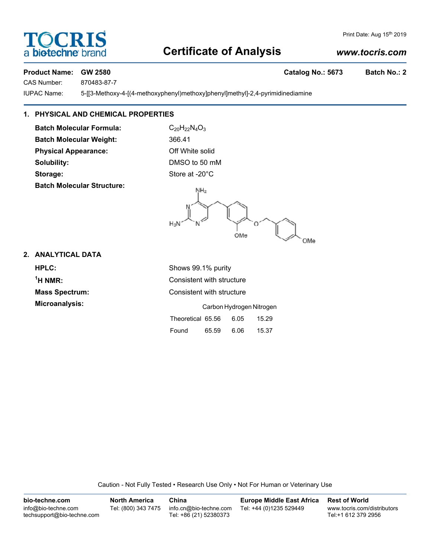# **Certificate of Analysis**

# **Product Name: GW 2580 Catalog No.: 5673 Batch No.: 2**

CAS Number: 870483-87-7

IUPAC Name: 5-[[3-Methoxy-4-[(4-methoxyphenyl)methoxy]phenyl]methyl]-2,4-pyrimidinediamine

# **1. PHYSICAL AND CHEMICAL PROPERTIES**

**Batch Molecular Formula:** C<sub>20</sub>H<sub>22</sub>N<sub>4</sub>O<sub>3</sub> **Batch Molecular Weight:** 366.41 **Physical Appearance:** Off White solid **Solubility:** DMSO to 50 mM **Storage:** Store at -20°C **Batch Molecular Structure:**

 $NH<sub>2</sub>$  $H<sub>2</sub>N$ OMe OMe

## **2. ANALYTICAL DATA**

**HPLC:** Shows 99.1% purity  $<sup>1</sup>H NMR$ :</sup> **Consistent with structure Mass Spectrum:** Consistent with structure **Microanalysis:** Carbon Hydrogen Nitrogen Theoretical 65.56 6.05 15.29

Caution - Not Fully Tested • Research Use Only • Not For Human or Veterinary Use

Found 65.59 6.06 15.37

| bio-techne.com                                    | <b>North America</b> | China                                            | <b>Europe Middle East Africa</b> | <b>Rest of World</b>                               |
|---------------------------------------------------|----------------------|--------------------------------------------------|----------------------------------|----------------------------------------------------|
| info@bio-techne.com<br>techsupport@bio-techne.com | Tel: (800) 343 7475  | info.cn@bio-techne.com<br>Tel: +86 (21) 52380373 | Tel: +44 (0)1235 529449          | www.tocris.com/distributors<br>Tel:+1 612 379 2956 |



# *www.tocris.com*

Print Date: Aug 15th 2019